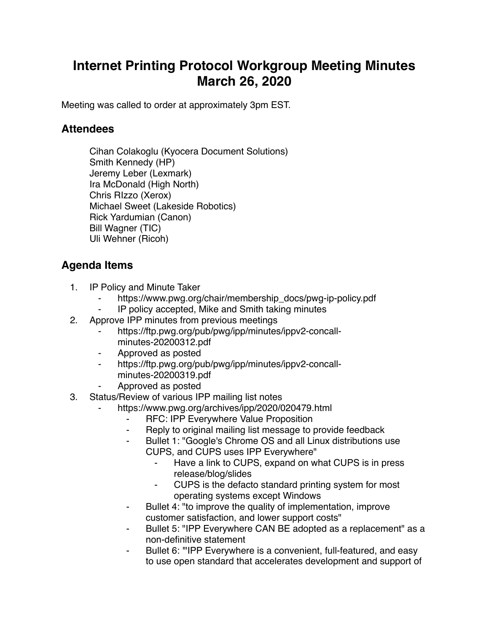## **Internet Printing Protocol Workgroup Meeting Minutes March 26, 2020**

Meeting was called to order at approximately 3pm EST.

## **Attendees**

Cihan Colakoglu (Kyocera Document Solutions) Smith Kennedy (HP) Jeremy Leber (Lexmark) Ira McDonald (High North) Chris RIzzo (Xerox) Michael Sweet (Lakeside Robotics) Rick Yardumian (Canon) Bill Wagner (TIC) Uli Wehner (Ricoh)

## **Agenda Items**

- 1. IP Policy and Minute Taker
	- https://www.pwg.org/chair/membership\_docs/pwg-ip-policy.pdf
	- ⁃ IP policy accepted, Mike and Smith taking minutes
- 2. Approve IPP minutes from previous meetings
	- https://ftp.pwg.org/pub/pwg/ipp/minutes/ippv2-concallminutes-20200312.pdf
	- ⁃ Approved as posted
	- ⁃ https://ftp.pwg.org/pub/pwg/ipp/minutes/ippv2-concallminutes-20200319.pdf
	- ⁃ Approved as posted
- 3. Status/Review of various IPP mailing list notes
	- https://www.pwg.org/archives/ipp/2020/020479.html
		- ⁃ RFC: IPP Everywhere Value Proposition
		- ⁃ Reply to original mailing list message to provide feedback
		- ⁃ Bullet 1: "Google's Chrome OS and all Linux distributions use CUPS, and CUPS uses IPP Everywhere"
			- Have a link to CUPS, expand on what CUPS is in press release/blog/slides
			- ⁃ CUPS is the defacto standard printing system for most operating systems except Windows
		- ⁃ Bullet 4: "to improve the quality of implementation, improve customer satisfaction, and lower support costs"
		- ⁃ Bullet 5: "IPP Everywhere CAN BE adopted as a replacement" as a non-definitive statement
		- ⁃ Bullet 6: '"IPP Everywhere is a convenient, full-featured, and easy to use open standard that accelerates development and support of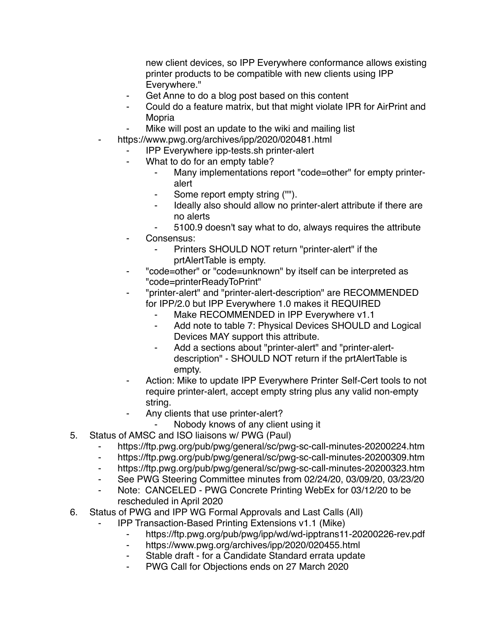new client devices, so IPP Everywhere conformance allows existing printer products to be compatible with new clients using IPP Everywhere."

- Get Anne to do a blog post based on this content
- Could do a feature matrix, but that might violate IPR for AirPrint and Mopria
- Mike will post an update to the wiki and mailing list
- https://www.pwg.org/archives/ipp/2020/020481.html
	- ⁃ IPP Everywhere ipp-tests.sh printer-alert
	- ⁃ What to do for an empty table?
		- Many implementations report "code=other" for empty printeralert
		- Some report empty string ("").
		- Ideally also should allow no printer-alert attribute if there are no alerts
		- ⁃ 5100.9 doesn't say what to do, always requires the attribute
	- Consensus:
		- Printers SHOULD NOT return "printer-alert" if the prtAlertTable is empty.
	- ⁃ "code=other" or "code=unknown" by itself can be interpreted as "code=printerReadyToPrint"
	- ⁃ "printer-alert" and "printer-alert-description" are RECOMMENDED for IPP/2.0 but IPP Everywhere 1.0 makes it REQUIRED
		- Make RECOMMENDED in IPP Everywhere v1.1
		- ⁃ Add note to table 7: Physical Devices SHOULD and Logical Devices MAY support this attribute.
		- Add a sections about "printer-alert" and "printer-alertdescription" - SHOULD NOT return if the prtAlertTable is empty.
	- Action: Mike to update IPP Everywhere Printer Self-Cert tools to not require printer-alert, accept empty string plus any valid non-empty string.
	- Any clients that use printer-alert?
		- Nobody knows of any client using it
- 5. Status of AMSC and ISO liaisons w/ PWG (Paul)
	- ⁃ https://ftp.pwg.org/pub/pwg/general/sc/pwg-sc-call-minutes-20200224.htm
	- ⁃ https://ftp.pwg.org/pub/pwg/general/sc/pwg-sc-call-minutes-20200309.htm
	- ⁃ https://ftp.pwg.org/pub/pwg/general/sc/pwg-sc-call-minutes-20200323.htm
	- ⁃ See PWG Steering Committee minutes from 02/24/20, 03/09/20, 03/23/20
	- ⁃ Note: CANCELED PWG Concrete Printing WebEx for 03/12/20 to be rescheduled in April 2020
- 6. Status of PWG and IPP WG Formal Approvals and Last Calls (All)
	- **IPP Transaction-Based Printing Extensions v1.1 (Mike)** 
		- ⁃ https://ftp.pwg.org/pub/pwg/ipp/wd/wd-ipptrans11-20200226-rev.pdf
		- ⁃ https://www.pwg.org/archives/ipp/2020/020455.html
		- Stable draft for a Candidate Standard errata update
		- PWG Call for Objections ends on 27 March 2020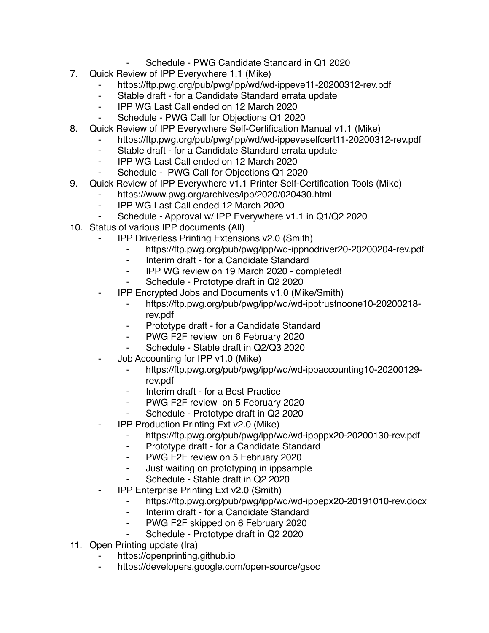- Schedule PWG Candidate Standard in Q1 2020
- 7. Quick Review of IPP Everywhere 1.1 (Mike)
	- https://ftp.pwg.org/pub/pwg/ipp/wd/wd-ippeve11-20200312-rev.pdf
	- ⁃ Stable draft for a Candidate Standard errata update
	- ⁃ IPP WG Last Call ended on 12 March 2020
	- Schedule PWG Call for Objections Q1 2020
- 8. Quick Review of IPP Everywhere Self-Certification Manual v1.1 (Mike)
	- https://ftp.pwg.org/pub/pwg/ipp/wd/wd-ippeveselfcert11-20200312-rev.pdf
	- ⁃ Stable draft for a Candidate Standard errata update
	- ⁃ IPP WG Last Call ended on 12 March 2020
	- Schedule PWG Call for Objections Q1 2020
- 9. Quick Review of IPP Everywhere v1.1 Printer Self-Certification Tools (Mike)
	- https://www.pwg.org/archives/ipp/2020/020430.html
		- ⁃ IPP WG Last Call ended 12 March 2020
		- Schedule Approval w/ IPP Everywhere v1.1 in Q1/Q2 2020
- 10. Status of various IPP documents (All)
	- **IPP Driverless Printing Extensions v2.0 (Smith)** 
		- ⁃ https://ftp.pwg.org/pub/pwg/ipp/wd-ippnodriver20-20200204-rev.pdf
		- ⁃ Interim draft for a Candidate Standard
		- ⁃ IPP WG review on 19 March 2020 completed!
		- Schedule Prototype draft in Q2 2020
	- ⁃ IPP Encrypted Jobs and Documents v1.0 (Mike/Smith)
		- ⁃ https://ftp.pwg.org/pub/pwg/ipp/wd/wd-ipptrustnoone10-20200218 rev.pdf
		- ⁃ Prototype draft for a Candidate Standard
		- ⁃ PWG F2F review on 6 February 2020
		- ⁃ Schedule Stable draft in Q2/Q3 2020
	- Job Accounting for IPP v1.0 (Mike)
		- https://ftp.pwg.org/pub/pwg/ipp/wd/wd-ippaccounting10-20200129rev.pdf
		- ⁃ Interim draft for a Best Practice
		- ⁃ PWG F2F review on 5 February 2020
		- Schedule Prototype draft in Q2 2020
	- **IPP Production Printing Ext v2.0 (Mike)** 
		- ⁃ https://ftp.pwg.org/pub/pwg/ipp/wd/wd-ippppx20-20200130-rev.pdf
		- ⁃ Prototype draft for a Candidate Standard
		- ⁃ PWG F2F review on 5 February 2020
		- ⁃ Just waiting on prototyping in ippsample
		- Schedule Stable draft in Q2 2020
	- **IPP Enterprise Printing Ext v2.0 (Smith)** 
		- ⁃ https://ftp.pwg.org/pub/pwg/ipp/wd/wd-ippepx20-20191010-rev.docx
		- ⁃ Interim draft for a Candidate Standard
		- PWG F2F skipped on 6 February 2020
		- ⁃ Schedule Prototype draft in Q2 2020
- 11. Open Printing update (Ira)
	- https://openprinting.github.io
	- https://developers.google.com/open-source/gsoc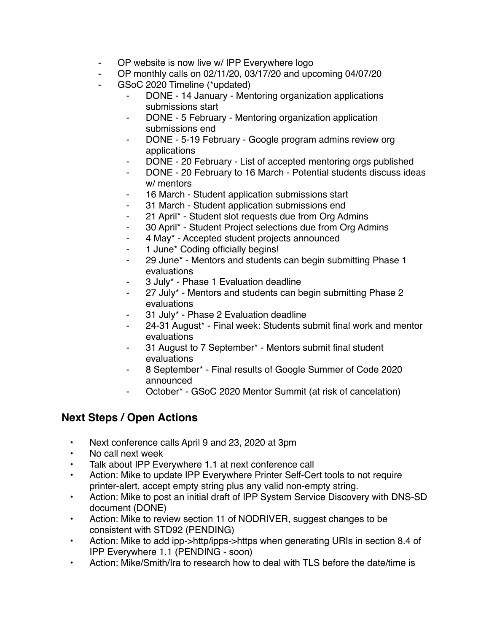- OP website is now live w/ IPP Everywhere logo
- OP monthly calls on 02/11/20, 03/17/20 and upcoming 04/07/20
- GSoC 2020 Timeline (\*updated)
	- DONE 14 January Mentoring organization applications submissions start
	- DONE 5 February Mentoring organization application submissions end
	- DONE 5-19 February Google program admins review org applications
	- DONE 20 February List of accepted mentoring orgs published
	- DONE 20 February to 16 March Potential students discuss ideas w/ mentors
	- 16 March Student application submissions start
	- 31 March Student application submissions end
	- ⁃ 21 April\* Student slot requests due from Org Admins
	- ⁃ 30 April\* Student Project selections due from Org Admins
	- ⁃ 4 May\* Accepted student projects announced
	- 1 June\* Coding officially begins!
	- ⁃ 29 June\* Mentors and students can begin submitting Phase 1 evaluations
	- ⁃ 3 July\* Phase 1 Evaluation deadline
	- 27 July\* Mentors and students can begin submitting Phase 2 evaluations
	- 31 July\* Phase 2 Evaluation deadline
	- 24-31 August\* Final week: Students submit final work and mentor evaluations
	- 31 August to 7 September\* Mentors submit final student evaluations
	- ⁃ 8 September\* Final results of Google Summer of Code 2020 announced
	- October\* GSoC 2020 Mentor Summit (at risk of cancelation)

## **Next Steps / Open Actions**

- Next conference calls April 9 and 23, 2020 at 3pm
- No call next week
- Talk about IPP Everywhere 1.1 at next conference call
- Action: Mike to update IPP Everywhere Printer Self-Cert tools to not require printer-alert, accept empty string plus any valid non-empty string.
- Action: Mike to post an initial draft of IPP System Service Discovery with DNS-SD document (DONE)
- Action: Mike to review section 11 of NODRIVER, suggest changes to be consistent with STD92 (PENDING)
- Action: Mike to add ipp->http/ipps->https when generating URIs in section 8.4 of IPP Everywhere 1.1 (PENDING - soon)
- Action: Mike/Smith/Ira to research how to deal with TLS before the date/time is